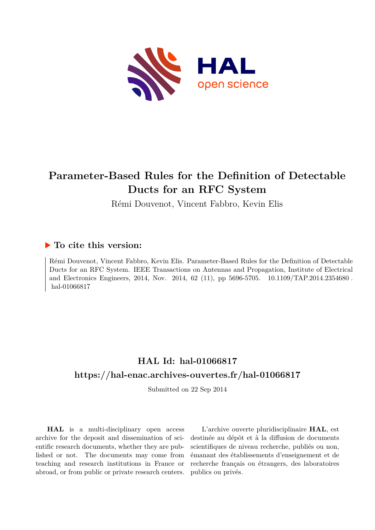

## **Parameter-Based Rules for the Definition of Detectable Ducts for an RFC System**

Rémi Douvenot, Vincent Fabbro, Kevin Elis

### **To cite this version:**

Rémi Douvenot, Vincent Fabbro, Kevin Elis. Parameter-Based Rules for the Definition of Detectable Ducts for an RFC System. IEEE Transactions on Antennas and Propagation, Institute of Electrical and Electronics Engineers, 2014, Nov. 2014, 62 (11), pp 5696-5705. 10.1109/TAP.2014.2354680. hal-01066817

## **HAL Id: hal-01066817 <https://hal-enac.archives-ouvertes.fr/hal-01066817>**

Submitted on 22 Sep 2014

**HAL** is a multi-disciplinary open access archive for the deposit and dissemination of scientific research documents, whether they are published or not. The documents may come from teaching and research institutions in France or abroad, or from public or private research centers.

L'archive ouverte pluridisciplinaire **HAL**, est destinée au dépôt et à la diffusion de documents scientifiques de niveau recherche, publiés ou non, émanant des établissements d'enseignement et de recherche français ou étrangers, des laboratoires publics ou privés.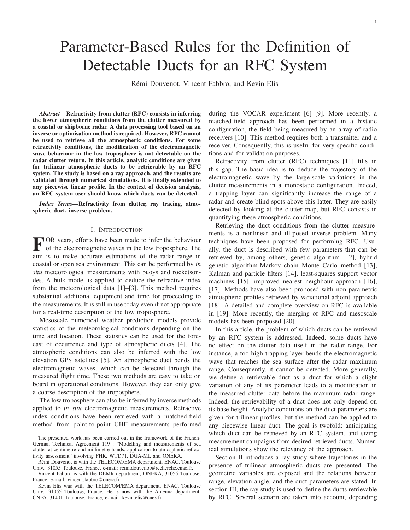# Parameter-Based Rules for the Definition of Detectable Ducts for an RFC System

Rémi Douvenot, Vincent Fabbro, and Kevin Elis

*Abstract*—Refractivity from clutter (RFC) consists in inferring the lower atmospheric conditions from the clutter measured by a coastal or shipborne radar. A data processing tool based on an inverse or optimisation method is required. However, RFC cannot be used to retrieve all the atmospheric conditions. For some refractivity conditions, the modification of the electromagnetic wave behaviour in the low troposphere is not detectable on the radar clutter return. In this article, analytic conditions are given for trilinear atmospheric ducts to be retrievable by an RFC system. The study is based on a ray approach, and the results are validated through numerical simulations. It is finally extended to any piecewise linear profile. In the context of decision analysis, an RFC system user should know which ducts can be detected.

*Index Terms*—Refractivity from clutter, ray tracing, atmospheric duct, inverse problem.

#### I. INTRODUCTION

F OR years, efforts have been made to infer the behaviour<br>of the electromagnetic waves in the low troposphere. The OR years, efforts have been made to infer the behaviour aim is to make accurate estimations of the radar range in coastal or open sea environment. This can be performed by *in situ* meteorological measurements with buoys and rocketsondes. A bulk model is applied to deduce the refractive index from the meteorological data [1]–[3]. This method requires substantial additional equipment and time for proceeding to the measurements. It is still in use today even if not appropriate for a real-time description of the low troposphere.

Mesoscale numerical weather prediction models provide statistics of the meteorological conditions depending on the time and location. These statistics can be used for the forecast of occurrence and type of atmospheric ducts [4]. The atmospheric conditions can also be inferred with the low elevation GPS satellites [5]. An atmospheric duct bends the electromagnetic waves, which can be detected through the measured flight time. These two methods are easy to take on board in operational conditions. However, they can only give a coarse description of the troposphere.

The low troposphere can also be inferred by inverse methods applied to *in situ* electromagnetic measurements. Refractive index conditions have been retrieved with a matched-field method from point-to-point UHF measurements performed

Rémi Douvenot is with the TELECOM/EMA department, ENAC, Toulouse Univ., 31055 Toulouse, France, e-mail: remi.douvenot@recherche.enac.fr.

Vincent Fabbro is with the DEMR department, ONERA, 31055 Toulouse, France, e-mail: vincent.fabbro@onera.fr

during the VOCAR experiment [6]–[9]. More recently, a matched-field approach has been performed in a bistatic configuration, the field being measured by an array of radio receivers [10]. This method requires both a transmitter and a receiver. Consequently, this is useful for very specific conditions and for validation purposes.

Refractivity from clutter (RFC) techniques [11] fills in this gap. The basic idea is to deduce the trajectory of the electromagnetic wave by the large-scale variations in the clutter measurements in a monostatic configuration. Indeed, a trapping layer can significantly increase the range of a radar and create blind spots above this latter. They are easily detected by looking at the clutter map, but RFC consists in quantifying these atmospheric conditions.

Retrieving the duct conditions from the clutter measurements is a nonlinear and ill-posed inverse problem. Many techniques have been proposed for performing RFC. Usually, the duct is described with few parameters that can be retrieved by, among others, genetic algorithm [12], hybrid genetic algorithm-Markov chain Monte Carlo method [13], Kalman and particle filters [14], least-squares support vector machines [15], improved nearest neighbour approach [16], [17]. Methods have also been proposed with non-parametric atmospheric profiles retrieved by variational adjoint approach [18]. A detailed and complete overview on RFC is available in [19]. More recently, the merging of RFC and mesoscale models has been proposed [20].

In this article, the problem of which ducts can be retrieved by an RFC system is addressed. Indeed, some ducts have no effect on the clutter data itself in the radar range. For instance, a too high trapping layer bends the electromagnetic wave that reaches the sea surface after the radar maximum range. Consequently, it cannot be detected. More generally, we define a retrievable duct as a duct for which a slight variation of any of its parameter leads to a modification in the measured clutter data before the maximum radar range. Indeed, the retrievability of a duct does not only depend on its base height. Analytic conditions on the duct parameters are given for trilinear profiles, but the method can be applied to any piecewise linear duct. The goal is twofold: anticipating which duct can be retrieved by an RFC system, and sizing measurement campaigns from desired retrieved ducts. Numerical simulations show the relevancy of the approach.

Section II introduces a ray study where trajectories in the presence of trilinear atmospheric ducts are presented. The geometric variables are exposed and the relations between range, elevation angle, and the duct parameters are stated. In section III, the ray study is used to define the ducts retrievable by RFC. Several scenarii are taken into account, depending

The presented work has been carried out in the framework of the French-German Technical Agreement 119 : "Modelling and measurements of sea clutter at centimetre and millimetre bands; application to atmospheric refractivity assessment" involving FHR, WTD71, DGA-MI, and ONERA.

Kevin Elis was with the TELECOM/EMA department, ENAC, Toulouse Univ., 31055 Toulouse, France. He is now with the Antenna department, CNES, 31401 Toulouse, France, e-mail: kevin.elis@cnes.fr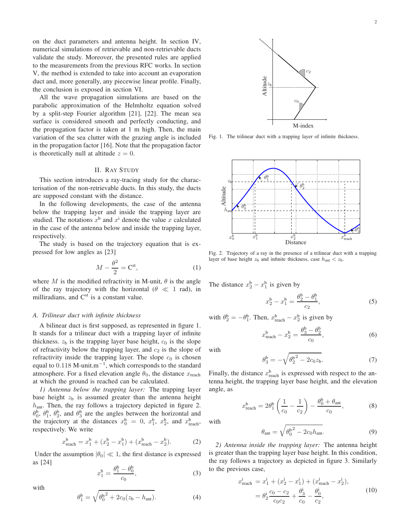on the duct parameters and antenna height. In section IV, numerical simulations of retrievable and non-retrievable ducts validate the study. Moreover, the presented rules are applied to the measurements from the previous RFC works. In section V, the method is extended to take into account an evaporation duct and, more generally, any piecewise linear profile. Finally, the conclusion is exposed in section VI.

All the wave propagation simulations are based on the parabolic approximation of the Helmholtz equation solved by a split-step Fourier algorithm [21], [22]. The mean sea surface is considered smooth and perfectly conducting, and the propagation factor is taken at 1 m high. Then, the main variation of the sea clutter with the grazing angle is included in the propagation factor [16]. Note that the propagation factor is theoretically null at altitude  $z = 0$ .

#### II. RAY STUDY

This section introduces a ray-tracing study for the characterisation of the non-retrievable ducts. In this study, the ducts are supposed constant with the distance.

In the following developments, the case of the antenna below the trapping layer and inside the trapping layer are studied. The notations  $x^b$  and  $x^i$  denote the value x calculated in the case of the antenna below and inside the trapping layer, respectively.

The study is based on the trajectory equation that is expressed for low angles as [23]

$$
M - \frac{\theta^2}{2} = \mathbf{C}^{\text{st}},\tag{1}
$$

where M is the modified refractivity in M-unit,  $\theta$  is the angle of the ray trajectory with the horizontal ( $\theta \ll 1$  rad), in milliradians, and  $C^{st}$  is a constant value.

#### *A. Trilinear duct with infinite thickness*

A bilinear duct is first supposed, as represented in figure 1. It stands for a trilinear duct with a trapping layer of infinite thickness.  $z<sub>b</sub>$  is the trapping layer base height,  $c<sub>0</sub>$  is the slope of refractivity below the trapping layer, and  $c_2$  is the slope of refractivity inside the trapping layer. The slope  $c_0$  is chosen equal to  $0.118$  M-unit.m<sup>-1</sup>, which corresponds to the standard atmosphere. For a fixed elevation angle  $\theta_0$ , the distance  $x_{\text{reach}}$ at which the ground is reached can be calculated.

*1) Antenna below the trapping layer:* The trapping layer base height  $z<sub>b</sub>$  is assumed greater than the antenna height  $h<sub>ant</sub>$ . Then, the ray follows a trajectory depicted in figure 2.  $\theta_0^b$ ,  $\theta_1^b$ ,  $\theta_2^b$ , and  $\theta_3^b$  are the angles between the horizontal and the trajectory at the distances  $x_0^b = 0$ ,  $x_1^b$ ,  $x_2^b$ , and  $x_{\text{reach}}^b$ , respectively. We write

$$
x_{\text{reach}}^{\text{b}} = x_1^{\text{b}} + (x_2^{\text{b}} - x_1^{\text{b}}) + (x_{\text{reach}}^{\text{b}} - x_2^{\text{b}}). \tag{2}
$$

Under the assumption  $|\theta_0| \ll 1$ , the first distance is expressed as [24]

$$
x_1^b = \frac{\theta_1^b - \theta_0^b}{c_0},
$$
 (3)

with

$$
\theta_1^b = \sqrt{{\theta_0^b}^2 + 2c_0(z_b - h_{\text{ant}})}.
$$
 (4)



Fig. 1. The trilinear duct with a trapping layer of infinite thickness.



Fig. 2. Trajectory of a ray in the presence of a trilinear duct with a trapping layer of base height  $z<sub>b</sub>$  and infinite thickness, case  $h<sub>ant</sub> < z<sub>b</sub>$ .

The distance  $x_2^b - x_1^b$  is given by

$$
x_2^b - x_1^b = \frac{\theta_2^b - \theta_1^b}{c_2},
$$
 (5)

with  $\theta_2^b = -\theta_1^b$ . Then,  $x_{\text{reach}}^b - x_2^b$  is given by

$$
x_{\text{reach}}^{\text{b}} - x_2^{\text{b}} = \frac{\theta_3^{\text{b}} - \theta_2^{\text{b}}}{c_0},
$$
 (6)

with

$$
\theta_3^b = -\sqrt{\theta_2^{b^2} - 2c_0 z_b}.
$$
 (7)

Finally, the distance  $x_{\text{reach}}^{\text{b}}$  is expressed with respect to the antenna height, the trapping layer base height, and the elevation angle, as

$$
x_{\text{reach}}^{\text{b}} = 2\theta_1^{\text{b}} \left( \frac{1}{c_0} - \frac{1}{c_2} \right) - \frac{\theta_0^{\text{b}} + \theta_{\text{ant}}}{c_0},\tag{8}
$$

with

 $\boldsymbol{\eta}$ 

$$
\theta_{\text{ant}} = \sqrt{\theta_0^{\mathsf{b}^2} - 2c_0 h_{\text{ant}}}.\tag{9}
$$

*2) Antenna inside the trapping layer:* The antenna height is greater than the trapping layer base height. In this condition, the ray follows a trajectory as depicted in figure 3. Similarly to the previous case,

$$
\begin{aligned} \n\dot{x}^i_{\text{reach}} &= x_1^i + (x_2^i - x_1^i) + (x_{\text{reach}}^i - x_2^i), \\ \n&= \theta_2^i \frac{c_0 - c_2}{c_0 c_2} + \frac{\theta_3^i}{c_0} - \frac{\theta_0^i}{c_2}, \n\end{aligned} \tag{10}
$$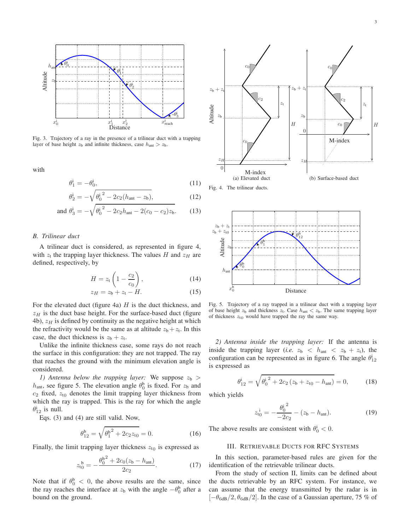

Fig. 3. Trajectory of a ray in the presence of a trilinear duct with a trapping layer of base height  $z<sub>b</sub>$  and infinite thickness, case  $h<sub>ant</sub> > z<sub>b</sub>$ .

with

$$
\theta_1^i = -\theta_0^i, \tag{11}
$$

$$
\theta_2^i = -\sqrt{\theta_0^i{}^2 - 2c_2(h_{\text{ant}} - z_b)},\tag{12}
$$

and 
$$
\theta_3^i = -\sqrt{{\theta_0^i}^2 - 2c_2h_{\text{ant}} - 2(c_0 - c_2)z_b}.
$$
 (13)

#### *B. Trilinear duct*

A trilinear duct is considered, as represented in figure 4, with  $z_t$  the trapping layer thickness. The values H and  $z_H$  are defined, respectively, by

$$
H = z_t \left( 1 - \frac{c_2}{c_0} \right), \tag{14}
$$

$$
z_H = z_b + z_t - H.
$$
 (15)

For the elevated duct (figure 4a)  $H$  is the duct thickness, and  $z_H$  is the duct base height. For the surface-based duct (figure 4b),  $z_H$  is defined by continuity as the negative height at which the refractivity would be the same as at altitude  $z_b + z_t$ . In this case, the duct thickness is  $z_b + z_t$ .

Unlike the infinite thickness case, some rays do not reach the surface in this configuration: they are not trapped. The ray that reaches the ground with the minimum elevation angle is considered.

*1)* Antenna below the trapping layer: We suppose  $z<sub>b</sub>$  >  $h_{\text{ant}}$ , see figure 5. The elevation angle  $\theta_0^b$  is fixed. For  $z_b$  and  $c_2$  fixed,  $z_{t0}$  denotes the limit trapping layer thickness from which the ray is trapped. This is the ray for which the angle  $\theta_{12}^i$  is null.

Eqs. (3) and (4) are still valid. Now,

$$
\theta_{12}^{\mathsf{b}} = \sqrt{{\theta_1^{\mathsf{b}}}^2 + 2c_2 z_{\mathsf{t0}}} = 0.
$$
 (16)

Finally, the limit trapping layer thickness  $z_{t0}$  is expressed as

$$
z_{t0}^{\;\;\mathbf{b}} = -\frac{\theta_0^{\mathbf{b}^2} + 2c_0(z_{\mathbf{b}} - h_{\text{ant}})}{2c_2}.\tag{17}
$$

Note that if  $\theta_0^b < 0$ , the above results are the same, since the ray reaches the interface at  $z<sub>b</sub>$  with the angle  $-\theta_0^b$  after a bound on the ground.



Fig. 5. Trajectory of a ray trapped in a trilinear duct with a trapping layer of base height  $z<sub>b</sub>$  and thickness  $z<sub>t</sub>$ . Case  $h<sub>ant</sub> < z<sub>b</sub>$ . The same trapping layer of thickness  $z_{t0}$  would have trapped the ray the same way.

*2) Antenna inside the trapping layer:* If the antenna is inside the trapping layer (*i.e.*  $z_b < h_{\text{ant}} < z_b + z_t$ ), the configuration can be represented as in figure 6. The angle  $\theta_{12}^i$ is expressed as

$$
\theta_{12}^{i} = \sqrt{{\theta_0}^{i}}^2 + 2c_2(z_b + z_{t0} - h_{ant}) = 0, \qquad (18)
$$

which yields

$$
z_{t_0}^i = -\frac{\theta_0^{i^2}}{-2c_2} - (z_b - h_{\text{ant}}). \tag{19}
$$

The above results are consistent with  $\theta_0^i < 0$ .

#### III. RETRIEVABLE DUCTS FOR RFC SYSTEMS

In this section, parameter-based rules are given for the identification of the retrievable trilinear ducts.

From the study of section II, limits can be defined about the ducts retrievable by an RFC system. For instance, we can assume that the energy transmitted by the radar is in  $[-\theta_{6dB}/2, \theta_{6dB}/2]$ . In the case of a Gaussian aperture, 75 % of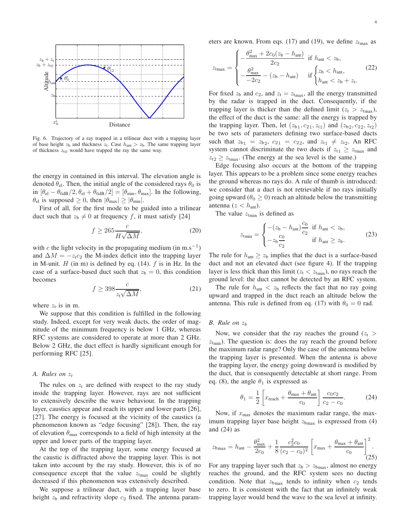

Fig. 6. Trajectory of a ray trapped in a trilinear duct with a trapping layer of base height  $z_b$  and thickness  $z_t$ . Case  $h_{ant} > z_b$ . The same trapping layer of thickness  $z_{t0}$  would have trapped the ray the same way.

the energy in contained in this interval. The elevation angle is denoted  $\theta_{el}$ . Then, the initial angle of the considered rays  $\theta_0$  is in  $[\theta_{el} - \theta_{6dB}/2, \theta_{el} + \theta_{6dB}/2] = [\theta_{min}, \theta_{max}]$ . In the following,  $\theta_{el}$  is supposed  $\geq 0$ , then  $|\theta_{max}| \geq |\theta_{min}|$ .

First of all, for the first mode to be guided into a trilinear duct such that  $z_b \neq 0$  at frequency f, it must satisfy [24]

$$
f \ge 265 \frac{c}{H\sqrt{\Delta M}},\tag{20}
$$

with c the light velocity in the propagating medium (in m.s<sup>-1</sup>) and  $\Delta M = -z_1c_2$  the M-index deficit into the trapping layer in M-unit.  $H$  (in m) is defined by eq. (14).  $f$  is in Hz. In the case of a surface-based duct such that  $z<sub>b</sub> = 0$ , this condition becomes

$$
f \ge 398 \frac{c}{z \sqrt{\Delta M}},\tag{21}
$$

where  $z_t$  is in m.

We suppose that this condition is fulfilled in the following study. Indeed, except for very weak ducts, the order of magnitude of the minimum frequency is below 1 GHz, whereas RFC systems are considered to operate at more than 2 GHz. Below 2 GHz, the duct effect is hardly significant enough for performing RFC [25].

#### *A. Rules on* z*<sup>t</sup>*

The rules on  $z_t$  are defined with respect to the ray study inside the trapping layer. However, rays are not sufficient to extensively describe the wave behaviour. In the trapping layer, caustics appear and reach its upper and lower parts [26], [27]. The energy is focused at the vicinity of the caustics (a phenomenon known as "edge focusing" [28]). Then, the ray of elevation  $\theta_{\text{max}}$  corresponds to a field of high intensity at the upper and lower parts of the trapping layer.

At the top of the trapping layer, some energy focused at the caustic is diffracted above the trapping layer. This is not taken into account by the ray study. However, this is of no consequence except that the value  $z<sub>trans</sub>$  could be slightly decreased if this phenomenon was extensively described.

We suppose a trilinear duct, with a trapping layer base height  $z<sub>b</sub>$  and refractivity slope  $c<sub>2</sub>$  fixed. The antenna parameters are known. From eqs. (17) and (19), we define  $z<sub>tnax</sub>$  as

$$
z_{\text{tmax}} = \begin{cases} -\frac{\theta_{\text{max}}^2 + 2c_0(z_b - h_{\text{ant}})}{2c_2} & \text{if } h_{\text{ant}} < z_b, \\ -\frac{\theta_{\text{max}}^2}{-2c_2} - (z_b - h_{\text{ant}}) & \text{if } \begin{cases} z_b < h_{\text{ant}}, \\ h_{\text{ant}} < z_b + z_t. \end{cases} \end{cases}
$$
(22)

For fixed  $z_b$  and  $c_2$ , and  $z_t = z_{tmax}$ , all the energy transmitted by the radar is trapped in the duct. Consequently, if the trapping layer is thicker than the defined limit ( $z_t > z_{tmax}$ ), the effect of the duct is the same: all the energy is trapped by the trapping layer. Then, let  $(z_{b_1}, c_{21}, z_{t1})$  and  $(z_{b_2}, c_{22}, z_{t2})$ be two sets of parameters defining two surface-based ducts such that  $z_{b1} = z_{b2}, c_{21} = c_{22}, \text{ and } z_{t1} \neq z_{t2}.$  An RFC system cannot discriminate the two ducts if  $z_{t1} \geq z_{tmax}$  and  $z_{t2} \geq z_{tmax}$ . (The energy at the sea level is the same.)

Edge focusing also occurs at the bottom of the trapping layer. This appears to be a problem since some energy reaches the ground whereas no rays do. A rule of thumb is introduced: we consider that a duct is not retrievable if no rays initially going upward ( $\theta_0 \geq 0$ ) reach an altitude below the transmitting antenna ( $z < h<sub>ant</sub>$ ).

The value  $z_{\text{tmin}}$  is defined as

$$
z_{\text{tmin}} = \begin{cases} -(z_{\text{b}} - h_{\text{ant}}) \frac{c_0}{c_2} & \text{if } h_{\text{ant}} < z_{\text{b}}, \\ -z_{\text{b}} \frac{c_0}{c_2} & \text{if } h_{\text{ant}} \ge z_{\text{b}}. \end{cases} \tag{23}
$$

The rule for  $h_{\text{ant}} \geq z_b$  implies that the duct is a surface-based duct and not an elevated duct (see figure 4). If the trapping layer is less thick than this limit ( $z_t < z_{tmin}$ ), no rays reach the ground level: the duct cannot be detected by an RFC system.

The rule for  $h_{\text{ant}} < z_b$  reflects the fact that no ray going upward and trapped in the duct reach an altitude below the antenna. This rule is defined from eq. (17) with  $\theta_0 = 0$  rad.

#### *B. Rule on* z*<sup>b</sup>*

Now, we consider that the ray reaches the ground  $(z_t >$  $z<sub>tmin</sub>$ ). The question is: does the ray reach the ground before the maximum radar range? Only the case of the antenna below the trapping layer is presented. When the antenna is above the trapping layer, the energy going downward is modified by the duct, that is consequently detectable at short range. From eq. (8), the angle  $\theta_1$  is expressed as

$$
\theta_1 = \frac{1}{2} \left[ x_{\text{reach}} + \frac{\theta_{\text{max}} + \theta_{\text{ant}}}{c_0} \right] \frac{c_0 c_2}{c_2 - c_0}.
$$
 (24)

Now, if  $x_{\text{max}}$  denotes the maximum radar range, the maximum trapping layer base height  $z<sub>bmax</sub>$  is expressed from (4) and (24) as

$$
z_{\text{bmax}} = h_{\text{ant}} - \frac{\theta_{\text{max}}^2}{2c_0} + \frac{1}{8} \frac{c_2^2 c_0}{(c_2 - c_0)^2} \left[ x_{\text{max}} + \frac{\theta_{\text{max}} + \theta_{\text{ant}}}{c_0} \right]^2.
$$
 (25)

For any trapping layer such that  $z<sub>b</sub> > z<sub>bmax</sub>$ , almost no energy reaches the ground, and the RFC system sees no ducting condition. Note that  $z_{\text{bmax}}$  tends to infinity when  $c_2$  tends to zero. It is consistent with the fact that an infinitely weak trapping layer would bend the wave to the sea level at infinity.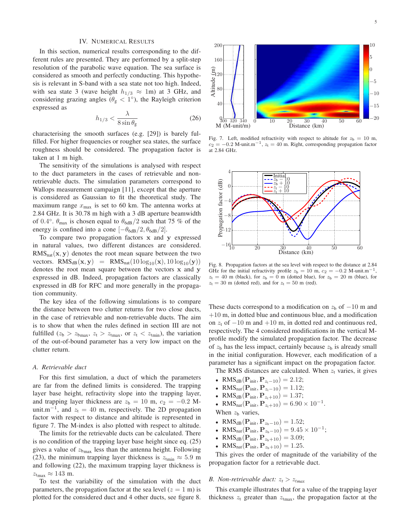#### IV. NUMERICAL RESULTS

In this section, numerical results corresponding to the different rules are presented. They are performed by a split-step resolution of the parabolic wave equation. The sea surface is considered as smooth and perfectly conducting. This hypothesis is relevant in S-band with a sea state not too high. Indeed, with sea state 3 (wave height  $h_{1/3} \approx 1$ m) at 3 GHz, and considering grazing angles  $(\theta_{g} < 1^{\circ})$ , the Rayleigh criterion expressed as

$$
h_{1/3} < \frac{\lambda}{8\sin\theta_{\rm g}}\tag{26}
$$

characterising the smooth surfaces (e.g. [29]) is barely fulfilled. For higher frequencies or rougher sea states, the surface roughness should be considered. The propagation factor is taken at 1 m high.

The sensitivity of the simulations is analysed with respect to the duct parameters in the cases of retrievable and nonretrievable ducts. The simulation parameters correspond to Wallops measurement campaign [11], except that the aperture is considered as Gaussian to fit the theoretical study. The maximum range  $x_{\text{max}}$  is set to 60 km. The antenna works at 2.84 GHz. It is 30.78 m high with a 3 dB aperture beamwidth of 0.4°.  $\theta_{\text{max}}$  is chosen equal to  $\theta_{\text{6dB}}/2$  such that 75 % of the energy is confined into a cone  $[-\theta_{6dB}/2, \theta_{6dB}/2]$ .

To compare two propagation factors x and y expressed in natural values, two different distances are considered.  $RMS<sub>nat</sub>(x, y)$  denotes the root mean square between the two vectors.  $RMS_{dB}(\mathbf{x}, \mathbf{y}) = RMS_{nat}(10 \log_{10}(\mathbf{x}), 10 \log_{10}(\mathbf{y}))$ denotes the root mean square between the vectors x and y expressed in dB. Indeed, propagation factors are classically expressed in dB for RFC and more generally in the propagation community.

The key idea of the following simulations is to compare the distance between two clutter returns for two close ducts, in the case of retrievable and non-retrievable ducts. The aim is to show that when the rules defined in section III are not fulfilled ( $z_b > z_{bmax}$ ,  $z_t > z_{tmax}$ , or  $z_t < z_{tmin}$ ), the variation of the out-of-bound parameter has a very low impact on the clutter return.

#### *A. Retrievable duct*

For this first simulation, a duct of which the parameters are far from the defined limits is considered. The trapping layer base height, refractivity slope into the trapping layer, and trapping layer thickness are  $z<sub>b</sub> = 10$  m,  $c<sub>2</sub> = -0.2$  Munit.m<sup>-1</sup>, and  $z_t = 40$  m, respectively. The 2D propagation factor with respect to distance and altitude is represented in figure 7. The M-index is also plotted with respect to altitude.

The limits for the retrievable ducts can be calculated. There is no condition of the trapping layer base height since eq. (25) gives a value of  $z<sub>bmax</sub>$  less than the antenna height. Following (23), the minimum trapping layer thickness is  $z<sub>tmin</sub> \approx 5.9$  m and following (22), the maximum trapping layer thickness is  $z<sub>tmax</sub> \approx 143$  m.

To test the variability of the simulation with the duct parameters, the propagation factor at the sea level  $(z = 1 \text{ m})$  is plotted for the considered duct and 4 other ducts, see figure 8.



Fig. 7. Left, modified refractivity with respect to altitude for  $z_b = 10$  m,  $c_2 = -0.2$  M-unit.m<sup>-1</sup>,  $z_t = 40$  m. Right, corresponding propagation factor at 2.84 GHz.



Fig. 8. Propagation factors at the sea level with respect to the distance at 2.84 GHz for the initial refractivity profile  $z_b = 10$  m,  $c_2 = -0.2$  M-unit.m<sup>-1</sup>,  $z_t = 40$  m (black), for  $z_b = 0$  m (dotted blue), for  $z_b = 20$  m (blue), for  $z_t = 30$  m (dotted red), and for  $z_t = 50$  m (red).

These ducts correspond to a modification on  $z<sub>b</sub>$  of  $-10$  m and  $+10$  m, in dotted blue and continuous blue, and a modification on  $z_t$  of  $-10$  m and  $+10$  m, in dotted red and continuous red, respectively. The 4 considered modifications in the vertical Mprofile modify the simulated propagation factor. The decrease of  $z<sub>b</sub>$  has the less impact, certainly because  $z<sub>b</sub>$  is already small in the initial configuration. However, each modification of a parameter has a significant impact on the propagation factor.

The RMS distances are calculated. When  $z_t$  varies, it gives

- RMS<sub>dB</sub> $({\bf P}_{init}, {\bf P}_{z_t-10}) = 2.12;$
- RMS<sub>nat</sub> $({\bf P}_{init}, {\bf P}_{z_t-10}) = 1.12;$
- RMS<sub>dB</sub> $({\bf P}_{init}, {\bf P}_{z_t+10}) = 1.37;$
- RMS<sub>nat</sub> $(\mathbf{P}_{\text{init}}, \mathbf{P}_{z_t+10}) = 6.90 \times 10^{-1}$ .
- When  $z<sub>b</sub>$  varies,
- RMS<sub>dB</sub> $({\bf P}_{init}, {\bf P}_{z_b-10}) = 1.52;$
- RMS<sub>nat</sub> $(P_{init}, P_{z_b-10}) = 9.45 \times 10^{-1}$ ;
- RMS<sub>dB</sub> $(P_{init}, P_{z_b+10}) = 3.09;$
- RMS<sub>nat</sub> $({\bf P}_{init}, {\bf P}_{z_b+10}) = 1.25$ .

This gives the order of magnitude of the variability of the propagation factor for a retrievable duct.

#### *B. Non-retrievable duct:*  $z_t > z_{tmax}$

This example illustrates that for a value of the trapping layer thickness  $z_t$  greater than  $z_{tmax}$ , the propagation factor at the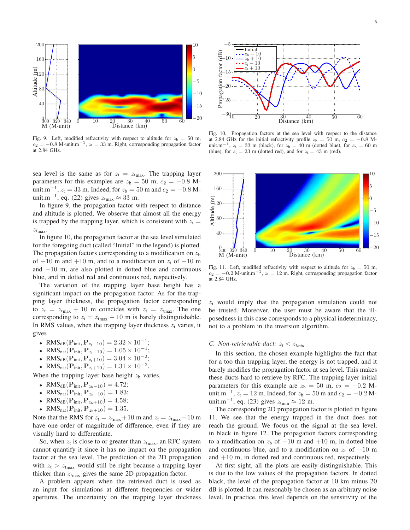

Fig. 9. Left, modified refractivity with respect to altitude for  $z<sub>b</sub> = 50$  m,  $c_2 = -0.8$  M-unit.m<sup>-1</sup>,  $z_t = 33$  m. Right, corresponding propagation factor at 2.84 GHz.

sea level is the same as for  $z_t = z_{tmax}$ . The trapping layer parameters for this examples are  $z<sub>b</sub> = 50$  m,  $c<sub>2</sub> = -0.8$  Munit.m<sup>-1</sup>,  $z_t = 33$  m. Indeed, for  $z_b = 50$  m and  $c_2 = -0.8$  Munit.m<sup>-1</sup>, eq. (22) gives  $z_{t_{\text{max}}} \approx 33$  m.

In figure 9, the propagation factor with respect to distance and altitude is plotted. We observe that almost all the energy is trapped by the trapping layer, which is consistent with  $z_t =$  $z_{tmax}$ .

In figure 10, the propagation factor at the sea level simulated for the foregoing duct (called "Initial" in the legend) is plotted. The propagation factors corresponding to a modification on  $z<sub>b</sub>$ of  $-10$  m and  $+10$  m, and to a modification on  $z_t$  of  $-10$  m and  $+10$  m, are also plotted in dotted blue and continuous blue, and in dotted red and continuous red, respectively.

The variation of the trapping layer base height has a significant impact on the propagation factor. As for the trapping layer thickness, the propagation factor corresponding to  $z_t = z_{tmax} + 10$  m coincides with  $z_t = z_{tmax}$ . The one corresponding to  $z_t = z_{tmax} - 10$  m is barely distinguishable. In RMS values, when the trapping layer thickness  $z_t$  varies, it gives

- RMS<sub>dB</sub> $(\mathbf{P}_{init}, \mathbf{P}_{z_t-10}) = 2.32 \times 10^{-1}$ ;
- RMS<sub>nat</sub> $(\mathbf{P}_{init}, \mathbf{P}_{z_t-10}) = 1.05 \times 10^{-1}$ ;
- RMS<sub>dB</sub> $(\mathbf{P}_{init}, \mathbf{P}_{z_t+10}) = 3.04 \times 10^{-2}$ ;
- RMS<sub>nat</sub> $(P_{init}, P_{z_t+10}) = 1.31 \times 10^{-2}$ .

When the trapping layer base height  $z<sub>b</sub>$  varies,

- RMS<sub>dB</sub> $({\bf P}_{init}, {\bf P}_{z_b-10}) = 4.72;$
- RMS<sub>nat</sub> $({\bf P}_{init}, {\bf P}_{z_b-10}) = 1.83;$
- RMS<sub>dB</sub> $({\bf P}_{init}, {\bf P}_{z_b+10}) = 4.58;$
- RMS<sub>nat</sub> $({\bf P}_{init}, {\bf P}_{z_b+10}) = 1.35.$

Note that the RMS for  $z_t = z_{tmax} + 10$  m and  $z_t = z_{tmax} - 10$  m have one order of magnitude of difference, even if they are visually hard to differentiate.

So, when  $z_t$  is close to or greater than  $z_{tmax}$ , an RFC system cannot quantify it since it has no impact on the propagation factor at the sea level. The prediction of the 2D propagation with  $z_t > z_{tmax}$  would still be right because a trapping layer thicker than  $z<sub>tmax</sub>$  gives the same 2D propagation factor.

A problem appears when the retrieved duct is used as an input for simulations at different frequencies or wider apertures. The uncertainty on the trapping layer thickness



Fig. 10. Propagation factors at the sea level with respect to the distance at 2.84 GHz for the initial refractivity profile  $z<sub>b</sub> = 50$  m,  $c<sub>2</sub> = -0.8$  Munit.m<sup>-1</sup>,  $z_t = 33$  m (black), for  $z_b = 40$  m (dotted blue), for  $z_b = 60$  m (blue), for  $z_t = 23$  m (dotted red), and for  $z_t = 43$  m (red).



Fig. 11. Left, modified refractivity with respect to altitude for  $z<sub>b</sub> = 50$  m,  $c_2 = -0.2$  M-unit.m<sup>-1</sup>,  $z_t = 12$  m. Right, corresponding propagation factor at 2.84 GHz.

 $z_t$  would imply that the propagation simulation could not be trusted. Moreover, the user must be aware that the illposedness in this case corresponds to a physical indeterminacy, not to a problem in the inversion algorithm.

#### *C. Non-retrievable duct:*  $z_t < z_{tmin}$

In this section, the chosen example highlights the fact that for a too thin trapping layer, the energy is not trapped, and it barely modifies the propagation factor at sea level. This makes these ducts hard to retrieve by RFC. The trapping layer initial parameters for this example are  $z<sub>b</sub> = 50$  m,  $c<sub>2</sub> = -0.2$  Munit.m<sup>-1</sup>,  $z_t = 12$  m. Indeed, for  $z_b = 50$  m and  $c_2 = -0.2$  Munit.m<sup>-1</sup>, eq. (23) gives  $z_{\text{tmin}} \approx 12$  m.

The corresponding 2D propagation factor is plotted in figure 11. We see that the energy trapped in the duct does not reach the ground. We focus on the signal at the sea level, in black in figure 12. The propagation factors corresponding to a modification on  $z<sub>b</sub>$  of  $-10$  m and  $+10$  m, in dotted blue and continuous blue, and to a modification on  $z_t$  of  $-10$  m and +10 m, in dotted red and continuous red, respectively.

At first sight, all the plots are easily distinguishable. This is due to the low values of the propagation factors. In dotted black, the level of the propagation factor at 10 km minus 20 dB is plotted. It can reasonably be chosen as an arbitrary noise level. In practice, this level depends on the sensitivity of the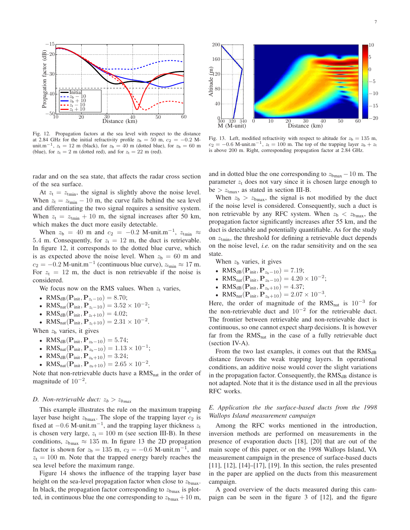

Fig. 12. Propagation factors at the sea level with respect to the distance at 2.84 GHz for the initial refractivity profile  $z<sub>b</sub> = 50$  m,  $c<sub>2</sub> = -0.2$  Munit.m<sup>-1</sup>,  $z_t = 12$  m (black), for  $z_b = 40$  m (dotted blue), for  $z_b = 60$  m (blue), for  $z_t = 2$  m (dotted red), and for  $z_t = 22$  m (red).

radar and on the sea state, that affects the radar cross section of the sea surface.

At  $z_t = z_{tmin}$ , the signal is slightly above the noise level. When  $z_t = z_{tmin} - 10$  m, the curve falls behind the sea level and differentiating the two signal requires a sensitive system. When  $z_t = z_{tmin} + 10$  m, the signal increases after 50 km, which makes the duct more easily detectable.

When  $z_b = 40$  m and  $c_2 = -0.2$  M-unit.m<sup>-1</sup>,  $z_{\text{tmin}} \approx$ 5.4 m. Consequently, for  $z_t = 12$  m, the duct is retrievable. In figure 12, it corresponds to the dotted blue curve, which is as expected above the noise level. When  $z<sub>b</sub> = 60$  m and  $c_2 = -0.2$  M-unit.m<sup>-1</sup> (continuous blue curve),  $z_{\text{tmin}} \approx 17$  m. For  $z_t = 12$  m, the duct is non retrievable if the noise is considered.

We focus now on the RMS values. When  $z_t$  varies,

• RMS<sub>dB</sub> $({\bf P}_{init}, {\bf P}_{z_t-10}) = 8.70;$ 

- RMS<sub>nat</sub> $(P_{init}, P_{z_t-10}) = 3.52 \times 10^{-2}$ ;
- RMS<sub>dB</sub> $({\bf P}_{init}, {\bf P}_{z_t+10}) = 4.02;$

• RMS<sub>nat</sub> $(\mathbf{P}_{init}, \mathbf{P}_{z_t+10}) = 2.31 \times 10^{-2}$ .

When  $z<sub>b</sub>$  varies, it gives

- RMS<sub>dB</sub> $({\bf P}_{init}, {\bf P}_{z_b-10}) = 5.74;$
- RMS<sub>nat</sub> $(P_{init}, P_{z_b-10}) = 1.13 \times 10^{-1}$ ;
- RMS<sub>dB</sub> $({\bf P}_{init}, {\bf P}_{z_b+10}) = 3.24;$
- RMS<sub>nat</sub> $(\mathbf{P}_{init}, \mathbf{P}_{z_b+10}) = 2.65 \times 10^{-2}$ .

Note that non-retrievable ducts have a  $RMS<sub>nat</sub>$  in the order of magnitude of  $10^{-2}$ .

#### *D. Non-retrievable duct:*  $z_b > z_{bmax}$

This example illustrates the rule on the maximum trapping layer base height  $z_{\text{bmax}}$ . The slope of the trapping layer  $c_2$  is fixed at  $-0.6$  M-unit.m<sup>-1</sup>, and the trapping layer thickness  $z_t$ is chosen very large,  $z_t = 100$  m (see section III-B). In these conditions,  $z_{\text{bmax}} \approx 135$  m. In figure 13 the 2D propagation factor is shown for  $z_b = 135$  m,  $c_2 = -0.6$  M-unit.m<sup>-1</sup>, and  $z_t = 100$  m. Note that the trapped energy barely reaches the sea level before the maximum range.

Figure 14 shows the influence of the trapping layer base height on the sea-level propagation factor when close to  $z_{bmax}$ . In black, the propagation factor corresponding to  $z<sub>bmax</sub>$  is plotted, in continuous blue the one corresponding to  $z_{\text{bmax}} + 10$  m,



Fig. 13. Left, modified refractivity with respect to altitude for  $z<sub>b</sub> = 135$  m,  $c_2 = -0.6$  M-unit.m<sup>-1</sup>,  $z_t = 100$  m. The top of the trapping layer  $z_b + z_t$ is above 200 m. Right, corresponding propagation factor at 2.84 GHz.

and in dotted blue the one corresponding to  $z_{\text{bmax}} - 10$  m. The parameter  $z_t$  does not vary since it is chosen large enough to be  $> z<sub>tnax</sub>$ , as stated in section III-B.

When  $z_b > z_{bmax}$ , the signal is not modified by the duct if the noise level is considered. Consequently, such a duct is non retrievable by any RFC system. When  $z_b < z_{bmax}$ , the propagation factor significantly increases after 55 km, and the duct is detectable and potentially quantifiable. As for the study on  $z<sub>tmin</sub>$ , the threshold for defining a retrievable duct depends on the noise level, *i.e.* on the radar sensitivity and on the sea state.

When  $z<sub>b</sub>$  varies, it gives

- RMS<sub>dB</sub> $({\bf P}_{init}, {\bf P}_{z_b-10}) = 7.19;$
- RMS<sub>nat</sub> $(\mathbf{P}_{\text{init}}, \mathbf{P}_{z_{b}-10}) = 4.20 \times 10^{-2}$ ;
- RMS<sub>dB</sub> $({\bf P}_{init}, {\bf P}_{z_b+10}) = 4.37;$
- RMS<sub>nat</sub> $(\mathbf{P}_{init}, \mathbf{P}_{z_b+10}) = 2.07 \times 10^{-3}$ .

Here, the order of magnitude of the  $RMS_{nat}$  is  $10^{-3}$  for the non-retrievable duct and  $10^{-2}$  for the retrievable duct. The frontier between retrievable and non-retrievable duct is continuous, so one cannot expect sharp decisions. It is however far from the  $RMS<sub>nat</sub>$  in the case of a fully retrievable duct (section IV-A).

From the two last examples, it comes out that the  $RMS<sub>dB</sub>$ distance favours the weak trapping layers. In operational conditions, an additive noise would cover the slight variations in the propagation factor. Consequently, the  $RMS<sub>dB</sub>$  distance is not adapted. Note that it is the distance used in all the previous RFC works.

#### *E. Application the the surface-based ducts from the 1998 Wallops Island measurement campaign*

Among the RFC works mentioned in the introduction, inversion methods are performed on measurements in the presence of evaporation ducts [18], [20] that are out of the main scope of this paper, or on the 1998 Wallops Island, VA measurement campaign in the presence of surface-based ducts [11], [12], [14]–[17], [19]. In this section, the rules presented in the paper are applied on the ducts from this measurement campaign.

A good overview of the ducts measured during this campaign can be seen in the figure 3 of [12], and the figure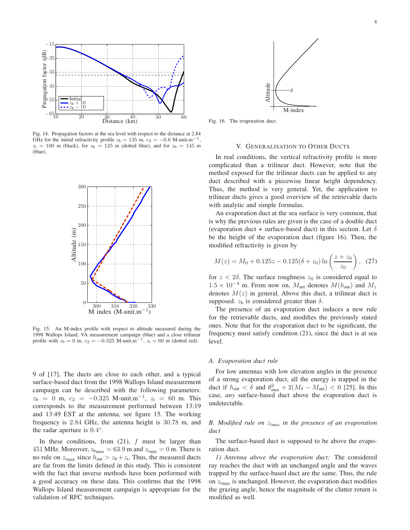

Fig. 14. Propagation factors at the sea level with respect to the distance at 2.84 GHz for the initial refractivity profile  $z<sub>b</sub> = 135$  m,  $c<sub>2</sub> = -0.6$  M-unit.m<sup>-1</sup>,  $z_t = 100$  m (black), for  $z_b = 125$  m (dotted blue), and for  $z_b = 145$  m (blue).



Fig. 15. An M-index profile with respect to altitude measured during the 1998 Wallops Island, VA measurement campaign (blue) and a close trilinear profile with  $z_b = 0$  m,  $c_2 = -0.325$  M-unit.m<sup>-1</sup>,  $z_t = 60$  m (dotted red).

9 of [17]. The ducts are close to each other, and a typical surface-based duct from the 1998 Wallops Island measurement campaign can be described with the following parameters:  $z_b = 0$  m,  $c_2 = -0.325$  M-unit.m<sup>-1</sup>,  $z_t = 60$  m. This corresponds to the measurement performed between 13:19 and 13:49 EST at the antenna, see figure 15. The working frequency is 2.84 GHz, the antenna height is 30.78 m, and the radar aperture is  $0.4^{\circ}$ .

In these conditions, from  $(21)$ ,  $f$  must be larger than 451 MHz. Moreover,  $z_{bmax} = 63.9$  m and  $z_{tmin} = 0$  m. There is no rule on  $z<sub>trans</sub>$  since  $h<sub>ant</sub> > z<sub>b</sub> + z<sub>t</sub>$ . Thus, the measured ducts are far from the limits defined in this study. This is consistent with the fact that inverse methods have been performed with a good accuracy on these data. This confirms that the 1998 Wallops Island measurement campaign is appropriate for the validation of RFC techniques.



Fig. 16. The evaporation duct.

#### V. GENERALISATION TO OTHER DUCTS

In real conditions, the vertical refractivity profile is more complicated than a trilinear duct. However, note that the method exposed for the trilinear ducts can be applied to any duct described with a piecewise linear height dependency. Thus, the method is very general. Yet, the application to trilinear ducts gives a good overview of the retrievable ducts with analytic and simple formulas.

An evaporation duct at the sea surface is very common, that is why the previous rules are given is the case of a double duct (evaporation duct + surface-based duct) in this section. Let  $\delta$ be the height of the evaporation duct (figure 16). Then, the modified refractivity is given by

$$
M(z) = M_0 + 0.125z - 0.125(\delta + z_0) \ln\left(\frac{z + z_0}{z_0}\right), \tag{27}
$$

for  $z < 2\delta$ . The surface roughness  $z_0$  is considered equal to  $1.5 \times 10^{-4}$  m. From now on,  $M_{\text{ant}}$  denotes  $M(h_{\text{ant}})$  and  $M_z$ denotes  $M(z)$  in general. Above this duct, a trilinear duct is supposed.  $z<sub>b</sub>$  is considered greater than  $\delta$ .

The presence of an evaporation duct induces a new rule for the retrievable ducts, and modifies the previously stated ones. Note that for the evaporation duct to be significant, the frequency must satisfy condition (21), since the duct is at sea level.

#### *A. Evaporation duct rule*

For low antennas with low elevation angles in the presence of a strong evaporation duct, all the energy is trapped in the duct if  $h_{\text{ant}} < \delta$  and  $\theta_{\text{max}}^2 + 2(M_{\delta} - M_{\text{ant}}) < 0$  [25]. In this case, *any* surface-based duct above the evaporation duct is undetectable.

#### *B. Modified rule on* z*tmax in the presence of an evaporation duct*

The surface-based duct is supposed to be above the evaporation duct.

*1) Antenna above the evaporation duct:* The considered ray reaches the duct with an unchanged angle and the waves trapped by the surface-based duct are the same. Thus, the rule on  $z<sub>tmax</sub>$  is unchanged. However, the evaporation duct modifies the grazing angle, hence the magnitude of the clutter return is modified as well.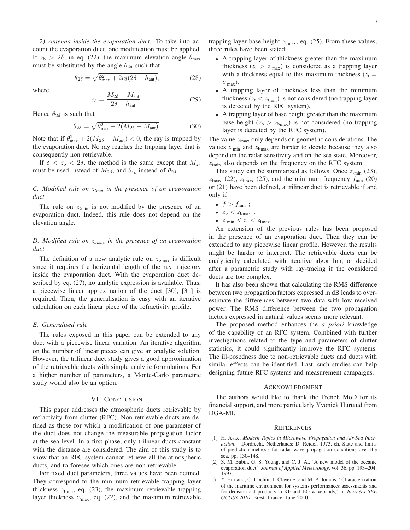*2) Antenna inside the evaporation duct:* To take into account the evaporation duct, one modification must be applied. If  $z_b > 2\delta$ , in eq. (22), the maximum elevation angle  $\theta_{\text{max}}$ must be substituted by the angle  $\theta_{2\delta}$  such that

$$
\theta_{2\delta} = \sqrt{\theta_{\text{max}}^2 + 2c_{\delta}(2\delta - h_{\text{ant}})},\tag{28}
$$

where

$$
c_{\delta} = \frac{M_{2\delta} + M_{\text{ant}}}{2\delta - h_{\text{ant}}}.
$$
 (29)

Hence  $\theta_{2\delta}$  is such that

$$
\theta_{2\delta} = \sqrt{\theta_{\text{max}}^2 + 2(M_{2\delta} - M_{\text{ant}})}.
$$
 (30)

Note that if  $\theta_{\text{max}}^2 + 2(M_{2\delta} - M_{\text{ant}}) < 0$ , the ray is trapped by the evaporation duct. No ray reaches the trapping layer that is consequently non retrievable.

If  $\delta < z_b < 2\delta$ , the method is the same except that  $M_{z_b}$ must be used instead of  $M_{2\delta}$ , and  $\theta_{z_b}$  instead of  $\theta_{2\delta}$ .

*C. Modified rule on* z*tmin in the presence of an evaporation duct*

The rule on  $z<sub>tmin</sub>$  is not modified by the presence of an evaporation duct. Indeed, this rule does not depend on the elevation angle.

#### *D. Modified rule on* z*bmax in the presence of an evaporation duct*

The definition of a new analytic rule on  $z_{\text{bmax}}$  is difficult since it requires the horizontal length of the ray trajectory inside the evaporation duct. With the evaporation duct described by eq. (27), no analytic expression is available. Thus, a piecewise linear approximation of the duct [30], [31] is required. Then, the generalisation is easy with an iterative calculation on each linear piece of the refractivity profile.

#### *E. Generalised rule*

The rules exposed in this paper can be extended to any duct with a piecewise linear variation. An iterative algorithm on the number of linear pieces can give an analytic solution. However, the trilinear duct study gives a good approximation of the retrievable ducts with simple analytic formulations. For a higher number of parameters, a Monte-Carlo parametric study would also be an option.

#### VI. CONCLUSION

This paper addresses the atmospheric ducts retrievable by refractivity from clutter (RFC). Non-retrievable ducts are defined as those for which a modification of one parameter of the duct does not change the measurable propagation factor at the sea level. In a first phase, only trilinear ducts constant with the distance are considered. The aim of this study is to show that an RFC system cannot retrieve all the atmospheric ducts, and to foresee which ones are non retrievable.

For fixed duct parameters, three values have been defined. They correspond to the minimum retrievable trapping layer thickness  $z<sub>tmin</sub>$ , eq. (23), the maximum retrievable trapping layer thickness  $z<sub>tmax</sub>$ , eq. (22), and the maximum retrievable trapping layer base height  $z_{bmax}$ , eq. (25). From these values, three rules have been stated:

- A trapping layer of thickness greater than the maximum thickness ( $z_t > z_{tmax}$ ) is considered as a trapping layer with a thickness equal to this maximum thickness ( $z_t$  =  $z_{\text{tmax}}$ ).
- A trapping layer of thickness less than the minimum thickness ( $z_t < z_{tmin}$ ) is not considered (no trapping layer is detected by the RFC system).
- A trapping layer of base height greater than the maximum base height ( $z<sub>b</sub> > z<sub>bmax</sub>$ ) is not considered (no trapping layer is detected by the RFC system).

The value  $z<sub>tmax</sub>$  only depends on geometric considerations. The values  $z<sub>tmin</sub>$  and  $z<sub>bmax</sub>$  are harder to decide because they also depend on the radar sensitivity and on the sea state. Moreover,  $z<sub>tmin</sub>$  also depends on the frequency on the RFC system.

This study can be summarized as follows. Once  $z_{\text{tmin}}$  (23),  $z<sub>tmax</sub>$  (22),  $z<sub>bmax</sub>$  (25), and the minimum frequency  $f<sub>min</sub>$  (20) or (21) have been defined, a trilinear duct is retrievable if and only if

- $f > f_{\min}$ ;
- $z_{\rm b} < z_{\rm bmax}$ ;
- $z_{\text{tmin}} < z_{\text{t}} < z_{\text{tmax}}$ .

An extension of the previous rules has been proposed in the presence of an evaporation duct. Then they can be extended to any piecewise linear profile. However, the results might be harder to interpret. The retrievable ducts can be analytically calculated with iterative algorithm, or decided after a parametric study with ray-tracing if the considered ducts are too complex.

It has also been shown that calculating the RMS difference between two propagation factors expressed in dB leads to overestimate the differences between two data with low received power. The RMS difference between the two propagation factors expressed in natural values seems more relevant.

The proposed method enhances the *a priori* knowledge of the capability of an RFC system. Combined with further investigations related to the type and parameters of clutter statistics, it could significantly improve the RFC systems. The ill-posedness due to non-retrievable ducts and ducts with similar effects can be identified. Last, such studies can help designing future RFC systems and measurement campaigns.

#### ACKNOWLEDGMENT

The authors would like to thank the French MoD for its financial support, and more particularly Yvonick Hurtaud from DGA-MI.

#### **REFERENCES**

- [1] H. Jeske, *Modern Topics in Microwave Propagation and Air-Sea Interaction*. Dordrecht, Netherlands: D. Reidel, 1973, ch. State and limits of prediction methods for radar wave propagation conditions over the sea, pp. 130–148.
- [2] S. M. Babin, G. S. Young, and C. J. A., "A new model of the oceanic evaporation duct," *Journal of Applied Meteorology*, vol. 36, pp. 193–204, 1997.
- [3] Y. Hurtaud, C. Cochin, J. Claverie, and M. Aïdonidis, "Characterization of the maritime environment for systems performances assessments and for decision aid products in RF and EO wavebands," in *Journées SEE OCOSS 2010*, Brest, France, June 2010.